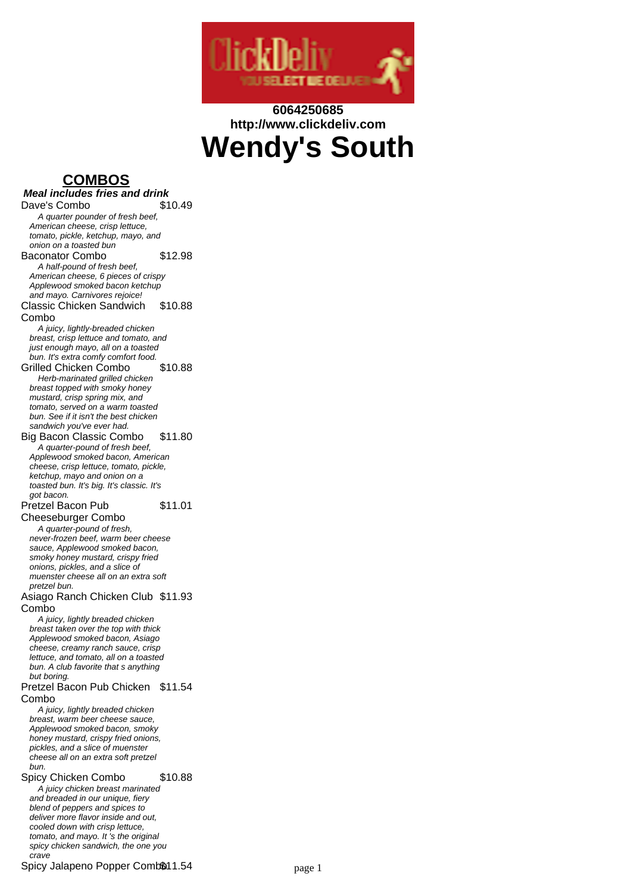

# **6064250685 http://www.clickdeliv.com Wendy's South**

## **COMBOS**

**Meal includes fries and drink** Dave's Combo \$10.49 A quarter pounder of fresh beef, American cheese, crisp lettuce, tomato, pickle, ketchup, mayo, and onion on a toasted bun Baconator Combo \$12.98 A half-pound of fresh beef, American cheese, 6 pieces of crispy Applewood smoked bacon ketchup and mayo. Carnivores rejoice! Classic Chicken Sandwich Combo \$10.88 A juicy, lightly-breaded chicken breast, crisp lettuce and tomato, and just enough mayo, all on a toasted bun. It's extra comfy comfort food. Grilled Chicken Combo \$10.88 Herb-marinated grilled chicken breast topped with smoky honey mustard, crisp spring mix, and tomato, served on a warm toasted bun. See if it isn't the best chicken sandwich you've ever had. Big Bacon Classic Combo \$11.80 A quarter-pound of fresh beef, Applewood smoked bacon, American cheese, crisp lettuce, tomato, pickle, ketchup, mayo and onion on a toasted bun. It's big. It's classic. It's got bacon. Pretzel Bacon Pub Cheeseburger Combo \$11.01 A quarter-pound of fresh, never-frozen beef, warm beer cheese sauce, Applewood smoked bacon. smoky honey mustard, crispy fried onions, pickles, and a slice of muenster cheese all on an extra soft pretzel bun. Asiago Ranch Chicken Club \$11.93 Combo A juicy, lightly breaded chicken breast taken over the top with thick Applewood smoked bacon, Asiago cheese, creamy ranch sauce, crisp lettuce, and tomato, all on a toasted bun. A club favorite that s anything but boring. Pretzel Bacon Pub Chicken \$11.54 Combo A juicy, lightly breaded chicken breast, warm beer cheese sauce, Applewood smoked bacon, smoky honey mustard, crispy fried onions. pickles, and a slice of muenster cheese all on an extra soft pretzel bun. Spicy Chicken Combo \$10.88 A juicy chicken breast marinated and breaded in our unique, fiery blend of peppers and spices to deliver more flavor inside and out, cooled down with crisp lettuce, tomato, and mayo. It 's the original spicy chicken sandwich, the one you

Spicy Jalapeno Popper Comb\$11.54 page 1

crave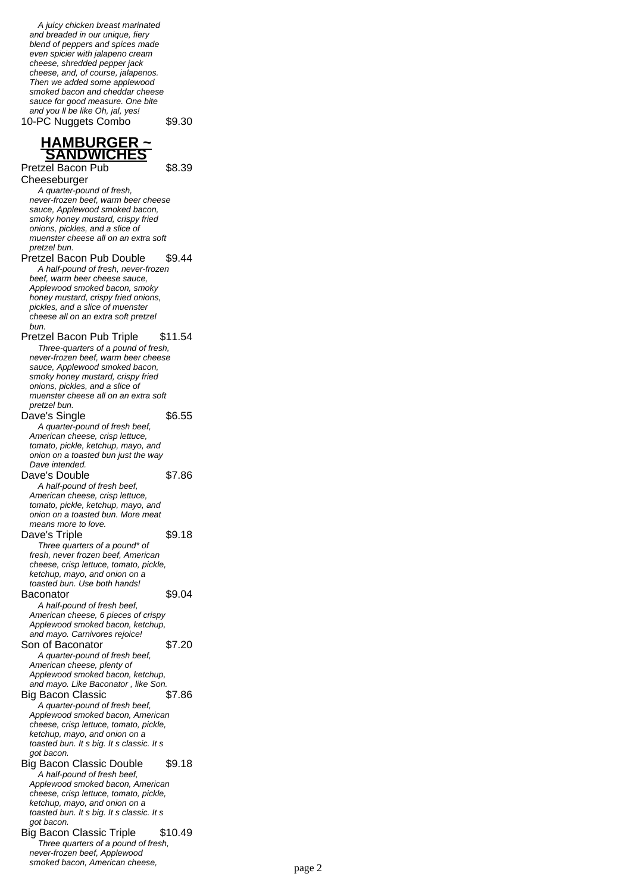A juicy chicken breast marinated and breaded in our unique, fiery blend of peppers and spices made even spicier with jalapeno cream cheese, shredded pepper jack cheese, and, of course, jalapenos. Then we added some applewood smoked bacon and cheddar cheese sauce for good measure. One bite and you II be like Oh, jal, yes! 10-PC Nuggets Combo \$9.30

\$8.39

#### **HAMBURGER ~ SANDWICHES**

Pretzel Bacon Pub Cheeseburger A quarter-pound of fresh, never-frozen beef, warm beer cheese

sauce, Applewood smoked bacon, smoky honey mustard, crispy fried onions, pickles, and a slice of muenster cheese all on an extra soft pretzel bun. Pretzel Bacon Pub Double \$9.44 A half-pound of fresh, never-frozen beef, warm beer cheese sauce, Applewood smoked bacon, smoky honey mustard, crispy fried onions, pickles, and a slice of muenster cheese all on an extra soft pretzel

bun. Pretzel Bacon Pub Triple \$11.54 Three-quarters of a pound of fresh, never-frozen beef, warm beer cheese sauce, Applewood smoked bacon, smoky honey mustard, crispy fried onions, pickles, and a slice of muenster cheese all on an extra soft

pretzel bun. Dave's Single \$6.55 A quarter-pound of fresh beef, American cheese, crisp lettuce, tomato, pickle, ketchup, mayo, and onion on a toasted bun just the way Dave intended. Dave's Double \$7.86 A half-pound of fresh beef, American cheese, crisp lettuce, tomato, pickle, ketchup, mayo, and onion on a toasted bun. More meat means more to love. Dave's Triple \$9.18 Three quarters of a pound\* of fresh, never frozen beef, American cheese, crisp lettuce, tomato, pickle, ketchup, mayo, and onion on a toasted bun. Use both hands! Baconator \$9.04 A half-pound of fresh beef, American cheese, 6 pieces of crispy Applewood smoked bacon, ketchup, and mayo. Carnivores rejoice! Son of Baconator \$7.20 A quarter-pound of fresh beef, American cheese, plenty of Applewood smoked bacon, ketchup, and mayo. Like Baconator , like Son. Big Bacon Classic \$7.86 A quarter-pound of fresh beef, Applewood smoked bacon, American cheese, crisp lettuce, tomato, pickle, ketchup, mayo, and onion on a toasted bun. It s big. It s classic. It s got bacon. Big Bacon Classic Double \$9.18 A half-pound of fresh beef, Applewood smoked bacon, American cheese, crisp lettuce, tomato, pickle, ketchup, mayo, and onion on a toasted bun. It s big. It s classic. It s got bacon. Big Bacon Classic Triple \$10.49 Three quarters of a pound of fresh, never-frozen beef, Applewood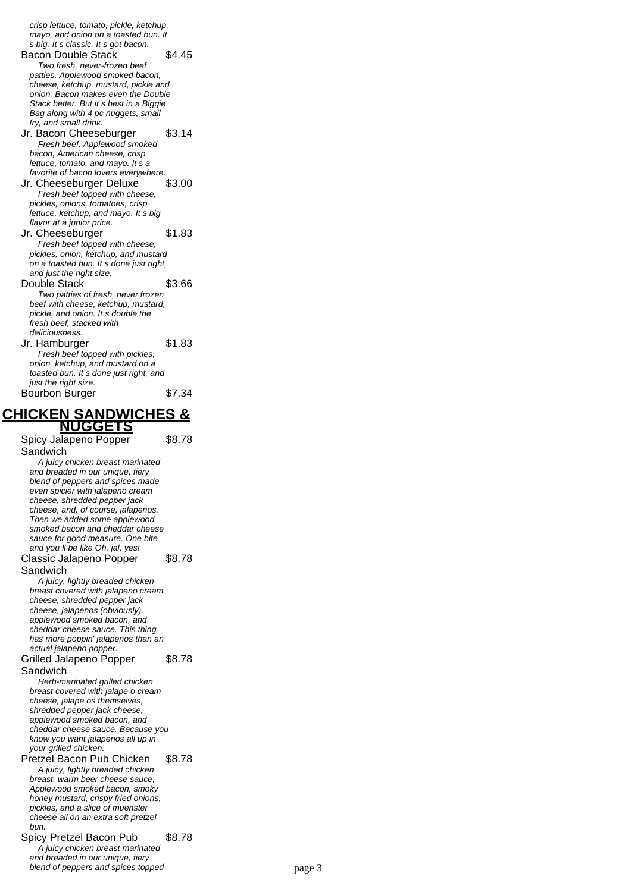crisp lettuce, tomato, pickle, ketchup, mayo, and onion on a toasted bun. It s big. It s classic. It s got bacon. Bacon Double Stack \$4.45 Two fresh, never-frozen beef patties, Applewood smoked bacon, cheese, ketchup, mustard, pickle and onion. Bacon makes even the Double Stack better. But it s best in a Biggie Bag along with 4 pc nuggets, small fry, and small drink. Jr. Bacon Cheeseburger \$3.14 Fresh beef, Applewood smoked bacon, American cheese, crisp lettuce, tomato, and mayo. It s a favorite of bacon lovers everywhere. Jr. Cheeseburger Deluxe \$3.00 Fresh beef topped with cheese. pickles, onions, tomatoes, crisp lettuce, ketchup, and mayo. It s big flavor at a junior price. Jr. Cheeseburger \$1.83 Fresh beef topped with cheese, pickles, onion, ketchup, and mustard on a toasted bun. It s done just right, and just the right size. Double Stack \$3.66 Two patties of fresh, never frozen beef with cheese, ketchup, mustard, pickle, and onion. It s double the fresh beef, stacked with deliciousness. Jr. Hamburger \$1.83 Fresh beef topped with pickles, onion, ketchup, and mustard on a toasted bun. It s done just right, and just the right size. Bourbon Burger \$7.34

# **CHICKEN SANDWICHES &**

**NUGGETS** Spicy Jalapeno Popper Sandwich \$8.78 A juicy chicken breast marinated and breaded in our unique, fiery blend of peppers and spices made even spicier with jalapeno cream cheese, shredded pepper jack cheese, and, of course, jalapenos. Then we added some applewood smoked bacon and cheddar cheese sauce for good measure. One bite and you II be like Oh, jal, yes! Classic Jalapeno Popper Sandwich \$8.78 A juicy, lightly breaded chicken breast covered with jalapeno cream cheese, shredded pepper jack cheese, jalapenos (obviously), applewood smoked bacon, and cheddar cheese sauce. This thing has more poppin' jalapenos than an actual jalapeno popper. Grilled Jalapeno Popper Sandwich \$8.78 Herb-marinated grilled chicken breast covered with jalape o cream cheese, jalape os themselves, shredded pepper jack cheese, applewood smoked bacon, and cheddar cheese sauce. Because you know you want jalapenos all up in your grilled chicken. Pretzel Bacon Pub Chicken \$8.78 A juicy, lightly breaded chicken breast, warm beer cheese sauce, Applewood smoked bacon, smoky honey mustard, crispy fried onions, pickles, and a slice of muenster cheese all on an extra soft pretzel bun. Spicy Pretzel Bacon Pub \$8.78 A juicy chicken breast marinated and breaded in our unique, fiery blend of peppers and spices topped page 3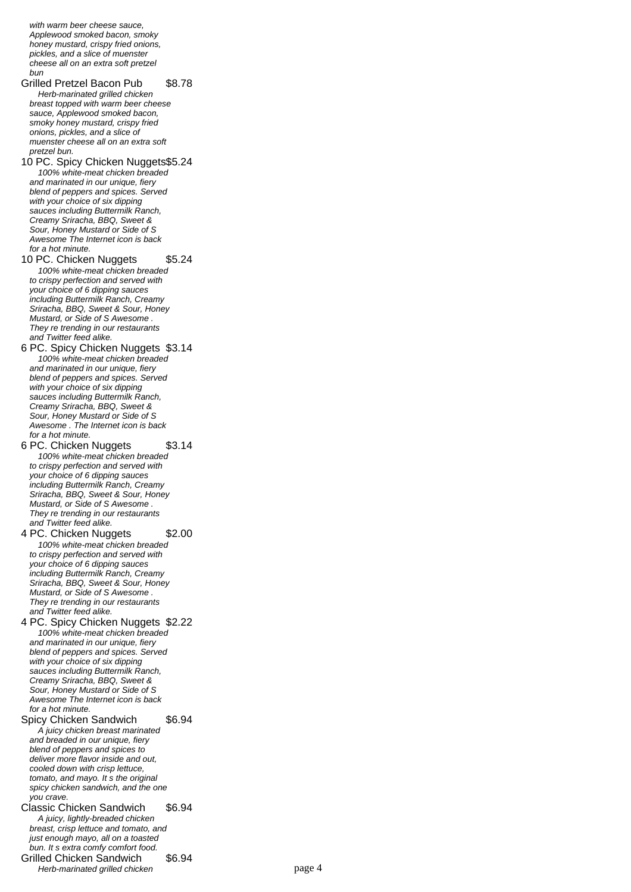with warm heer cheese sauce Applewood smoked bacon, smoky honey mustard, crispy fried onions, pickles, and a slice of muenster cheese all on an extra soft pretzel bun

Grilled Pretzel Bacon Pub \$8.78 Herb-marinated grilled chicken breast topped with warm beer cheese sauce, Applewood smoked bacon. smoky honey mustard, crispy fried onions, pickles, and a slice of muenster cheese all on an extra soft pretzel bun.

10 PC. Spicy Chicken Nuggets\$5.24 100% white-meat chicken breaded and marinated in our unique, fiery blend of peppers and spices. Served with your choice of six dipping sauces including Buttermilk Ranch, Creamy Sriracha, BBQ, Sweet & Sour, Honey Mustard or Side of S Awesome The Internet icon is back for a hot minute.

10 PC. Chicken Nuggets \$5.24 100% white-meat chicken breaded to crispy perfection and served with your choice of 6 dipping sauces including Buttermilk Ranch, Creamy Sriracha, BBQ, Sweet & Sour, Honey Mustard, or Side of S Awesome . They re trending in our restaurants and Twitter feed alike.

6 PC. Spicy Chicken Nuggets \$3.14 100% white-meat chicken breaded and marinated in our unique, fiery blend of peppers and spices. Served with your choice of six dipping sauces including Buttermilk Ranch, Creamy Sriracha, BBQ, Sweet & Sour, Honey Mustard or Side of S Awesome . The Internet icon is back for a hot minute.

6 PC. Chicken Nuggets \$3.14 100% white-meat chicken breaded to crispy perfection and served with your choice of 6 dipping sauces including Buttermilk Ranch, Creamy Sriracha, BBQ, Sweet & Sour, Honey Mustard, or Side of S Awesome . They re trending in our restaurants and Twitter feed alike.

4 PC. Chicken Nuggets \$2.00 100% white-meat chicken breaded to crispy perfection and served with your choice of 6 dipping sauces including Buttermilk Ranch, Creamy Sriracha, BBQ, Sweet & Sour, Honey Mustard, or Side of S Awesome . They re trending in our restaurants and Twitter feed alike.

4 PC. Spicy Chicken Nuggets \$2.22 100% white-meat chicken breaded and marinated in our unique, fiery blend of peppers and spices. Served with your choice of six dipping sauces including Buttermilk Ranch, Creamy Sriracha, BBQ, Sweet & Sour, Honey Mustard or Side of S Awesome The Internet icon is back for a hot minute.

Spicy Chicken Sandwich \$6.94 A juicy chicken breast marinated and breaded in our unique, fiery blend of peppers and spices to deliver more flavor inside and out, cooled down with crisp lettuce, tomato, and mayo. It s the original spicy chicken sandwich, and the one you crave.

Classic Chicken Sandwich \$6.94 A juicy, lightly-breaded chicken breast, crisp lettuce and tomato, and just enough mayo, all on a toasted bun. It s extra comfy comfort food. Grilled Chicken Sandwich \$6.94 Herb-marinated grilled chicken page 4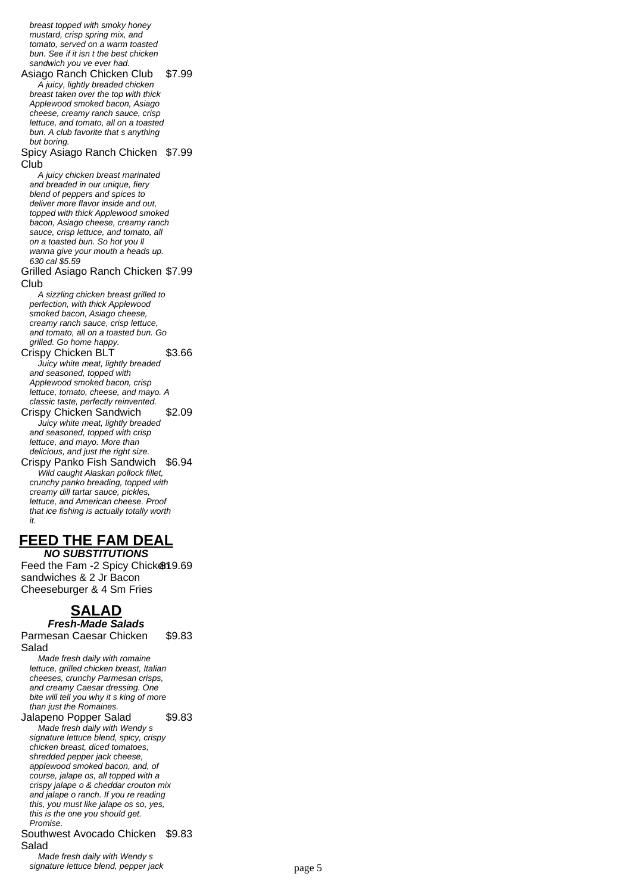breast topped with smoky honey mustard, crisp spring mix, and tomato, served on a warm toasted bun. See if it isn t the best chicken sandwich you ve ever had. Asiago Ranch Chicken Club \$7.99 A juicy, lightly breaded chicken breast taken over the top with thick Applewood smoked bacon, Asiago cheese, creamy ranch sauce, crisp lettuce, and tomato, all on a toasted bun. A club favorite that s anything but boring. Spicy Asiago Ranch Chicken \$7.99 Club A juicy chicken breast marinated and breaded in our unique, fiery blend of peppers and spices to deliver more flavor inside and out, topped with thick Applewood smoked bacon, Asiago cheese, creamy ranch sauce, crisp lettuce, and tomato, all on a toasted bun. So hot you ll wanna give your mouth a heads up. 630 cal \$5.59 Grilled Asiago Ranch Chicken \$7.99 Club A sizzling chicken breast grilled to perfection, with thick Applewood smoked bacon, Asiago cheese, creamy ranch sauce, crisp lettuce, and tomato, all on a toasted bun. Go grilled. Go home happy. Crispy Chicken BLT \$3.66 Juicy white meat, lightly breaded and seasoned, topped with Applewood smoked bacon, crisp lettuce, tomato, cheese, and mayo. A classic taste, perfectly reinvented. Crispy Chicken Sandwich \$2.09 Juicy white meat, lightly breaded and seasoned, topped with crisp lettuce, and mayo. More than delicious, and just the right size. Crispy Panko Fish Sandwich \$6.94 Wild caught Alaskan pollock fillet, crunchy panko breading, topped with creamy dill tartar sauce, pickles, lettuce, and American cheese. Proof that ice fishing is actually totally worth it. **FEED THE FAM DEAL**

**NO SUBSTITUTIONS** Feed the Fam -2 Spicy Chick \$19.69 sandwiches & 2 Jr Bacon Cheeseburger & 4 Sm Fries

## **SALAD**

**Fresh-Made Salads** Parmesan Caesar Chicken Salad \$9.83

Made fresh daily with romaine lettuce, grilled chicken breast, Italian cheeses, crunchy Parmesan crisps, and creamy Caesar dressing. One bite will tell you why it s king of more than just the Romaines. Jalapeno Popper Salad \$9.83 Made fresh daily with Wendy s signature lettuce blend, spicy, crispy chicken breast, diced tomatoes, shredded pepper jack cheese, applewood smoked bacon, and, of course, jalape os, all topped with a crispy jalape o & cheddar crouton mix and jalape o ranch. If you re reading this, you must like jalape os so, yes, this is the one you should get. Promise. Southwest Avocado Chicken \$9.83 Salad Made fresh daily with Wendy s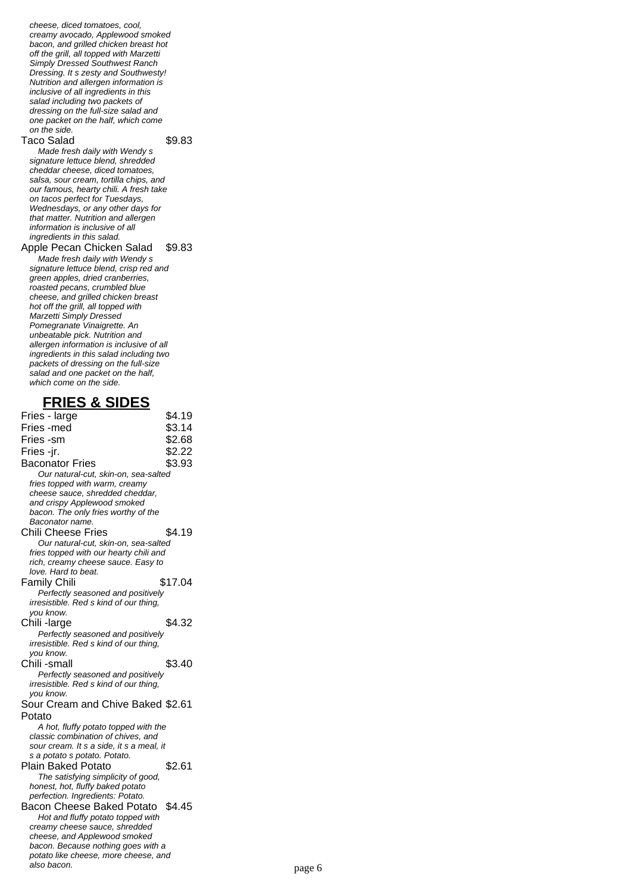cheese, diced tomatoes, cool, creamy avocado, Applewood smoked bacon, and grilled chicken breast hot off the grill, all topped with Marzetti Simply Dressed Southwest Ranch Dressing. It s zesty and Southwesty! Nutrition and allergen information is inclusive of all ingredients in this salad including two packets of dressing on the full-size salad and one packet on the half, which come on the side.

#### Taco Salad \$9.83

Made fresh daily with Wendy s signature lettuce blend, shredded cheddar cheese, diced tomatoes, salsa, sour cream, tortilla chips, and our famous, hearty chili. A fresh take on tacos perfect for Tuesdays, Wednesdays, or any other days for that matter. Nutrition and allergen information is inclusive of all ingredients in this salad.

#### Apple Pecan Chicken Salad \$9.83 Made fresh daily with Wendy s signature lettuce blend, crisp red and

green apples, dried cranberries. roasted pecans, crumbled blue cheese, and grilled chicken breast hot off the grill, all topped with Marzetti Simply Dressed Pomegranate Vinaigrette. An unbeatable pick. Nutrition and allergen information is inclusive of all ingredients in this salad including two packets of dressing on the full-size salad and one packet on the half, which come on the side.

#### **FRIES & SIDES**

| Fries - large                                                                  | \$4.19  |
|--------------------------------------------------------------------------------|---------|
| Fries -med                                                                     | \$3.14  |
| Fries -sm                                                                      | \$2.68  |
| Fries -jr.                                                                     | \$2.22  |
| <b>Baconator Fries</b>                                                         | \$3.93  |
| Our natural-cut, skin-on, sea-salted                                           |         |
| fries topped with warm, creamy                                                 |         |
| cheese sauce, shredded cheddar,                                                |         |
| and crispy Applewood smoked                                                    |         |
| bacon. The only fries worthy of the                                            |         |
| Baconator name.                                                                |         |
| <b>Chili Cheese Fries</b>                                                      | \$4.19  |
| Our natural-cut, skin-on, sea-salted                                           |         |
| fries topped with our hearty chili and                                         |         |
| rich, creamy cheese sauce. Easy to<br>love. Hard to beat.                      |         |
| <b>Family Chili</b>                                                            | \$17.04 |
| Perfectly seasoned and positively                                              |         |
| irresistible. Red s kind of our thing,                                         |         |
| you know.                                                                      |         |
| Chili-large                                                                    | \$4.32  |
| Perfectly seasoned and positively                                              |         |
| irresistible. Red s kind of our thing,                                         |         |
| you know.                                                                      |         |
| Chili -small                                                                   | \$3.40  |
| Perfectly seasoned and positively                                              |         |
| irresistible. Red s kind of our thing,                                         |         |
| you know.                                                                      |         |
| Sour Cream and Chive Baked \$2.61                                              |         |
| Potato                                                                         |         |
| A hot, fluffy potato topped with the                                           |         |
| classic combination of chives, and<br>sour cream. It s a side, it s a meal, it |         |
| s a potato s potato. Potato.                                                   |         |
| Plain Baked Potato                                                             | \$2.61  |
| The satisfying simplicity of good,                                             |         |
| honest, hot, fluffy baked potato                                               |         |
| perfection. Ingredients: Potato.                                               |         |
| Bacon Cheese Baked Potato                                                      | \$4.45  |
| Hot and fluffy potato topped with                                              |         |
| creamy cheese sauce, shredded                                                  |         |
| cheese, and Applewood smoked                                                   |         |
| bacon. Because nothing goes with a                                             |         |
| potato like cheese, more cheese, and<br>also bacon.                            |         |
|                                                                                | page 6  |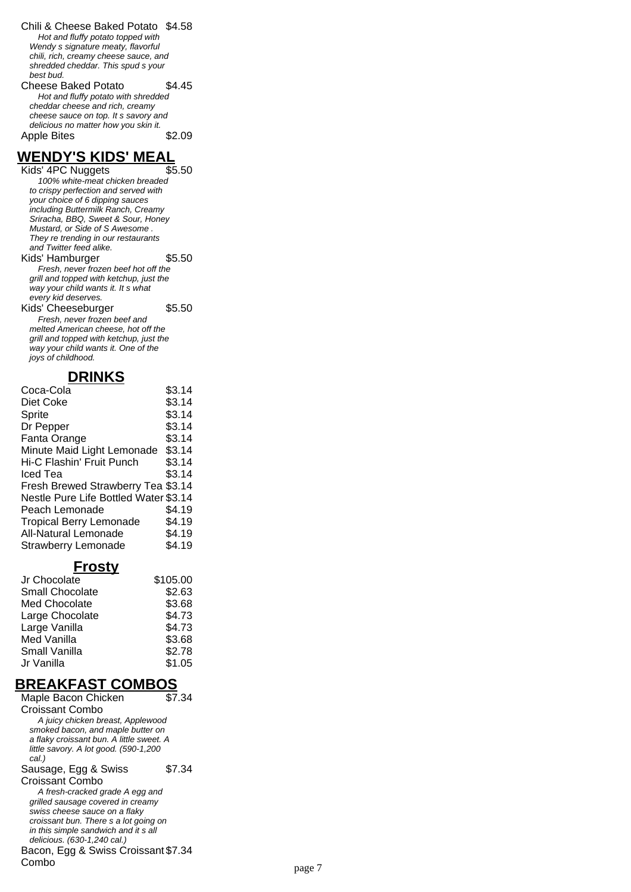Chili & Cheese Baked Potato \$4.58 Hot and fluffy potato topped with Wendy s signature meaty, flavorful chili, rich, creamy cheese sauce, and shredded cheddar. This spud s your best bud. Cheese Baked Potato \$4.45 Hot and fluffy potato with shredded

cheddar cheese and rich, creamy cheese sauce on top. It s savory and delicious no matter how you skin it. Apple Bites \$2.09

**WENDY'S KIDS' MEAL** Kids' 4PC Nuggets 100% white-meat chicken breaded to crispy perfection and served with your choice of 6 dipping sauces including Buttermilk Ranch, Creamy Sriracha, BBQ, Sweet & Sour, Honey Mustard, or Side of S Awesome . They re trending in our restaurants and Twitter feed alike. Kids' Hamburger \$5.50 Fresh, never frozen beef hot off the grill and topped with ketchup, just the way your child wants it. It s what every kid deserves. Kids' Cheeseburger \$5.50 Fresh, never frozen beef and melted American cheese, hot off the grill and topped with ketchup, just the way your child wants it. One of the joys of childhood.

#### **DRINKS**

| Coca-Cola                             | \$3.14 |
|---------------------------------------|--------|
| Diet Coke                             | \$3.14 |
| Sprite                                | \$3.14 |
| Dr Pepper                             | \$3.14 |
| Fanta Orange                          | \$3.14 |
| Minute Maid Light Lemonade            | \$3.14 |
| Hi-C Flashin' Fruit Punch             | \$3.14 |
| Iced Tea                              | \$3.14 |
| Fresh Brewed Strawberry Tea \$3.14    |        |
| Nestle Pure Life Bottled Water \$3.14 |        |
| Peach Lemonade                        | \$4.19 |
| <b>Tropical Berry Lemonade</b>        | \$4.19 |
| <b>All-Natural Lemonade</b>           | \$4.19 |
| <b>Strawberry Lemonade</b>            | \$4.19 |

#### **Frosty**

| Jr Chocolate           | \$105.00 |
|------------------------|----------|
| <b>Small Chocolate</b> | \$2.63   |
| Med Chocolate          | \$3.68   |
| Large Chocolate        | \$4.73   |
| Large Vanilla          | \$4.73   |
| Med Vanilla            | \$3.68   |
| Small Vanilla          | \$2.78   |
| Jr Vanilla             | \$1.05   |

## **BREAKFAST COMBOS**

Maple Bacon Chicken Croissant Combo \$7.34 A juicy chicken breast, Applewood smoked bacon, and maple butter on a flaky croissant bun. A little sweet. A little savory. A lot good. (590-1,200 cal.) Sausage, Egg & Swiss Croissant Combo \$7.34 A fresh-cracked grade A egg and grilled sausage covered in creamy swiss cheese sauce on a flaky croissant bun. There s a lot going on in this simple sandwich and it s all delicious. (630-1,240 cal.) Bacon, Egg & Swiss Croissant \$7.34 Combo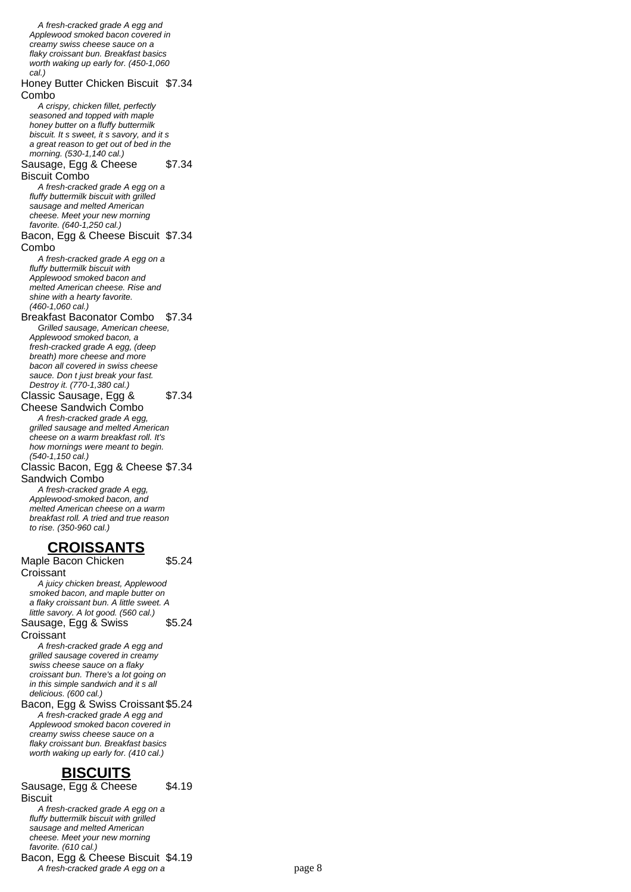A fresh-cracked grade A egg and Applewood smoked bacon covered in creamy swiss cheese sauce on a flaky croissant bun. Breakfast basics worth waking up early for. (450-1,060 cal.) Honey Butter Chicken Biscuit \$7.34 Combo A crispy, chicken fillet, perfectly seasoned and topped with maple honey butter on a fluffy buttermilk biscuit. It s sweet, it s savory, and it s a great reason to get out of bed in the morning. (530-1,140 cal.) Sausage, Egg & Cheese Biscuit Combo \$7.34 A fresh-cracked grade A egg on a fluffy buttermilk biscuit with grilled sausage and melted American cheese. Meet your new morning favorite. (640-1,250 cal.) Bacon, Egg & Cheese Biscuit \$7.34 Combo A fresh-cracked grade A egg on a fluffy buttermilk biscuit with Applewood smoked bacon and melted American cheese. Rise and shine with a hearty favorite. (460-1,060 cal.) Breakfast Baconator Combo \$7.34 Grilled sausage, American cheese, Applewood smoked bacon, a fresh-cracked grade A egg, (deep breath) more cheese and more bacon all covered in swiss cheese sauce. Don t just break your fast. Destroy it. (770-1,380 cal.) Classic Sausage, Egg & Cheese Sandwich Combo \$7.34 A fresh-cracked grade A egg, grilled sausage and melted American cheese on a warm breakfast roll. It's how mornings were meant to begin. (540-1,150 cal.) Classic Bacon, Egg & Cheese \$7.34 Sandwich Combo A fresh-cracked grade A egg, Applewood-smoked bacon, and melted American cheese on a warm breakfast roll. A tried and true reason to rise. (350-960 cal.) **CROISSANTS** Maple Bacon Chicken **Croissant** \$5.24 A juicy chicken breast, Applewood smoked bacon, and maple butter on a flaky croissant bun. A little sweet. A little savory. A lot good. (560 cal.) Sausage, Egg & Swiss **Croissant** \$5.24 A fresh-cracked grade A egg and grilled sausage covered in creamy swiss cheese sauce on a flaky croissant bun. There's a lot going on in this simple sandwich and it s all delicious. (600 cal.) Bacon, Egg & Swiss Croissant \$5.24 A fresh-cracked grade A egg and Applewood smoked bacon covered in creamy swiss cheese sauce on a flaky croissant bun. Breakfast basics worth waking up early for. (410 cal.)

#### **BISCUITS**

Sausage, Egg & Cheese **Biscuit** 

\$4.19

A fresh-cracked grade A egg on a fluffy buttermilk biscuit with grilled sausage and melted American cheese. Meet your new morning favorite. (610 cal.) Bacon, Egg & Cheese Biscuit \$4.19 A fresh-cracked grade A egg on a page 8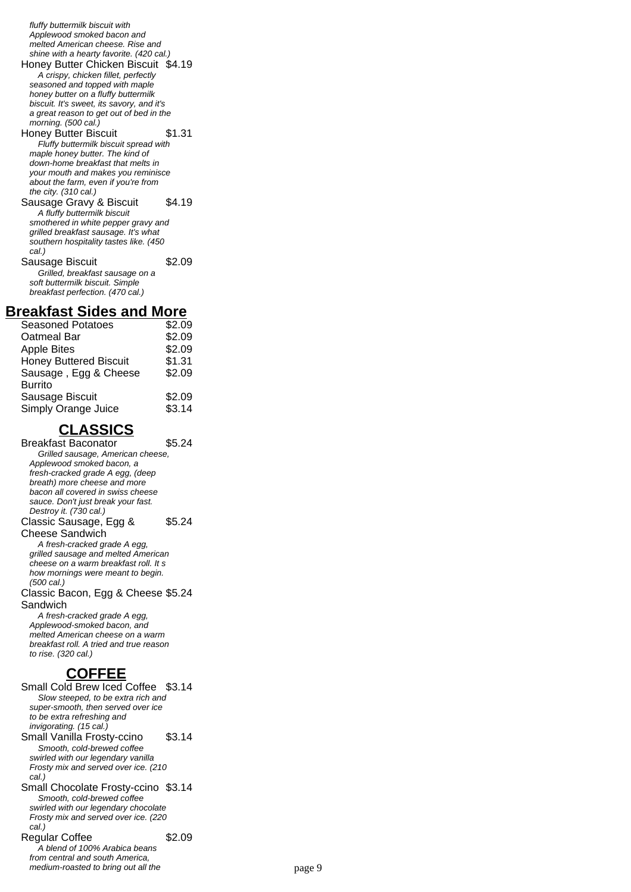fluffy buttermilk biscuit with Applewood smoked bacon and melted American cheese. Rise and shine with a hearty favorite. (420 cal.)

Honey Butter Chicken Biscuit \$4.19 A crispy, chicken fillet, perfectly seasoned and topped with maple honey butter on a fluffy buttermilk

biscuit. It's sweet, its savory, and it's a great reason to get out of bed in the morning. (500 cal.)

- Honey Butter Biscuit \$1.31 Fluffy buttermilk biscuit spread with maple honey butter. The kind of down-home breakfast that melts in your mouth and makes you reminisce about the farm, even if you're from the city. (310 cal.)
- Sausage Gravy & Biscuit \$4.19 A fluffy buttermilk biscuit smothered in white pepper gravy and grilled breakfast sausage. It's what southern hospitality tastes like. (450) cal.) Sausage Biscuit \$2.09 Grilled, breakfast sausage on a
- soft buttermilk biscuit. Simple breakfast perfection. (470 cal.)

### **Breakfast Sides and More**

| <b>Seasoned Potatoes</b>      | \$2.09 |
|-------------------------------|--------|
| Oatmeal Bar                   | \$2.09 |
| <b>Apple Bites</b>            | \$2.09 |
| <b>Honey Buttered Biscuit</b> | \$1.31 |
| Sausage, Egg & Cheese         | \$2.09 |
| <b>Burrito</b>                |        |
| Sausage Biscuit               | \$2.09 |
| Simply Orange Juice           | \$3.14 |

## **CLASSICS**

Breakfast Baconator \$5.24 Grilled sausage, American cheese, Applewood smoked bacon, a fresh-cracked grade A egg, (deep breath) more cheese and more bacon all covered in swiss cheese sauce. Don't just break your fast. Destroy it. (730 cal.) Classic Sausage, Egg & Cheese Sandwich \$5.24 A fresh-cracked grade A egg, grilled sausage and melted American cheese on a warm breakfast roll. It s how mornings were meant to begin. (500 cal.) Classic Bacon, Egg & Cheese \$5.24 **Sandwich** A fresh-cracked grade A egg, Applewood-smoked bacon, and melted American cheese on a warm breakfast roll. A tried and true reason to rise. (320 cal.)

## **COFFEE**

Small Cold Brew Iced Coffee \$3.14 Slow steeped, to be extra rich and super-smooth, then served over ice to be extra refreshing and invigorating. (15 cal.) Small Vanilla Frosty-ccino \$3.14 Smooth, cold-brewed coffee swirled with our legendary vanilla Frosty mix and served over ice. (210 cal.) Small Chocolate Frosty-ccino \$3.14 Smooth, cold-brewed coffee swirled with our legendary chocolate Frosty mix and served over ice. (220 cal.) Regular Coffee \$2.09 A blend of 100% Arabica beans from central and south America, medium-roasted to bring out all the page 9